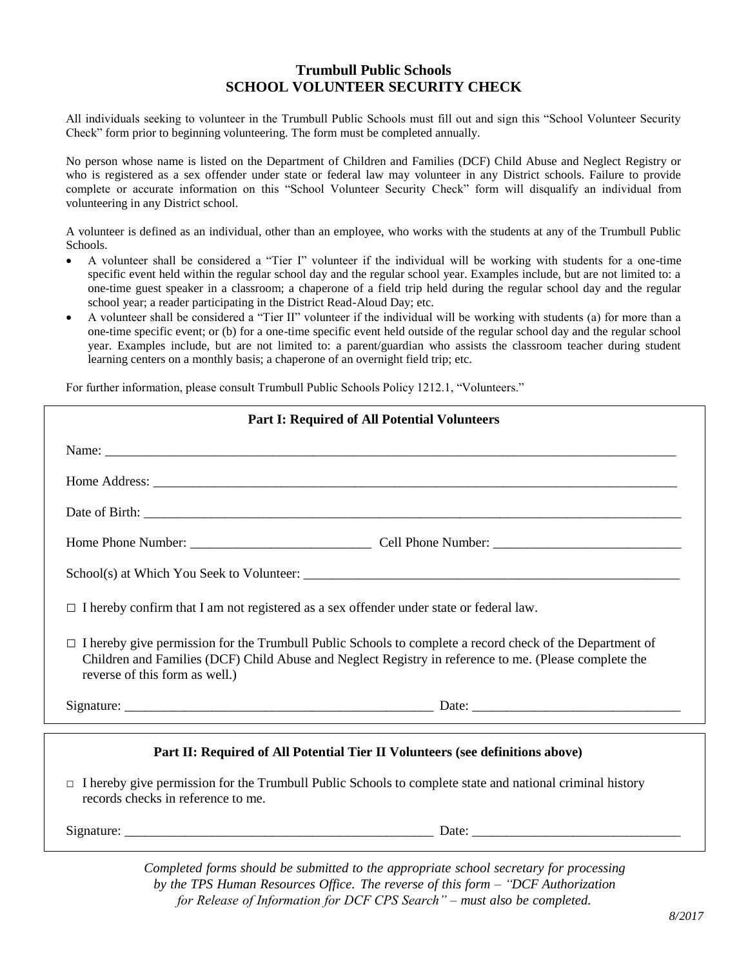## **Trumbull Public Schools SCHOOL VOLUNTEER SECURITY CHECK**

All individuals seeking to volunteer in the Trumbull Public Schools must fill out and sign this "School Volunteer Security Check" form prior to beginning volunteering. The form must be completed annually.

No person whose name is listed on the Department of Children and Families (DCF) Child Abuse and Neglect Registry or who is registered as a sex offender under state or federal law may volunteer in any District schools. Failure to provide complete or accurate information on this "School Volunteer Security Check" form will disqualify an individual from volunteering in any District school.

A volunteer is defined as an individual, other than an employee, who works with the students at any of the Trumbull Public Schools.

- A volunteer shall be considered a "Tier I" volunteer if the individual will be working with students for a one-time specific event held within the regular school day and the regular school year. Examples include, but are not limited to: a one-time guest speaker in a classroom; a chaperone of a field trip held during the regular school day and the regular school year; a reader participating in the District Read-Aloud Day; etc.
- A volunteer shall be considered a "Tier II" volunteer if the individual will be working with students (a) for more than a one-time specific event; or (b) for a one-time specific event held outside of the regular school day and the regular school year. Examples include, but are not limited to: a parent/guardian who assists the classroom teacher during student learning centers on a monthly basis; a chaperone of an overnight field trip; etc.

For further information, please consult Trumbull Public Schools Policy 1212.1, "Volunteers."

| <b>Part I: Required of All Potential Volunteers</b>                                                                                                                                                                                                        |  |  |  |  |  |  |  |
|------------------------------------------------------------------------------------------------------------------------------------------------------------------------------------------------------------------------------------------------------------|--|--|--|--|--|--|--|
|                                                                                                                                                                                                                                                            |  |  |  |  |  |  |  |
|                                                                                                                                                                                                                                                            |  |  |  |  |  |  |  |
|                                                                                                                                                                                                                                                            |  |  |  |  |  |  |  |
|                                                                                                                                                                                                                                                            |  |  |  |  |  |  |  |
|                                                                                                                                                                                                                                                            |  |  |  |  |  |  |  |
| $\Box$ I hereby confirm that I am not registered as a sex offender under state or federal law.                                                                                                                                                             |  |  |  |  |  |  |  |
| $\Box$ I hereby give permission for the Trumbull Public Schools to complete a record check of the Department of<br>Children and Families (DCF) Child Abuse and Neglect Registry in reference to me. (Please complete the<br>reverse of this form as well.) |  |  |  |  |  |  |  |
| Signature: Date: Date: Date: Date: Date: Date: Date: Date: Date: Date: Date: Date: Date: Date: Date: Date: Date: Date: Date: Date: Date: Date: Date: Date: Date: Date: Date: Date: Date: Date: Date: Date: Date: Date: Date: D                             |  |  |  |  |  |  |  |
| Part II: Required of All Potential Tier II Volunteers (see definitions above)                                                                                                                                                                              |  |  |  |  |  |  |  |
| $\Box$ I hereby give permission for the Trumbull Public Schools to complete state and national criminal history<br>records checks in reference to me.                                                                                                      |  |  |  |  |  |  |  |
|                                                                                                                                                                                                                                                            |  |  |  |  |  |  |  |

*Completed forms should be submitted to the appropriate school secretary for processing by the TPS Human Resources Office. The reverse of this form – "DCF Authorization for Release of Information for DCF CPS Search" – must also be completed.*